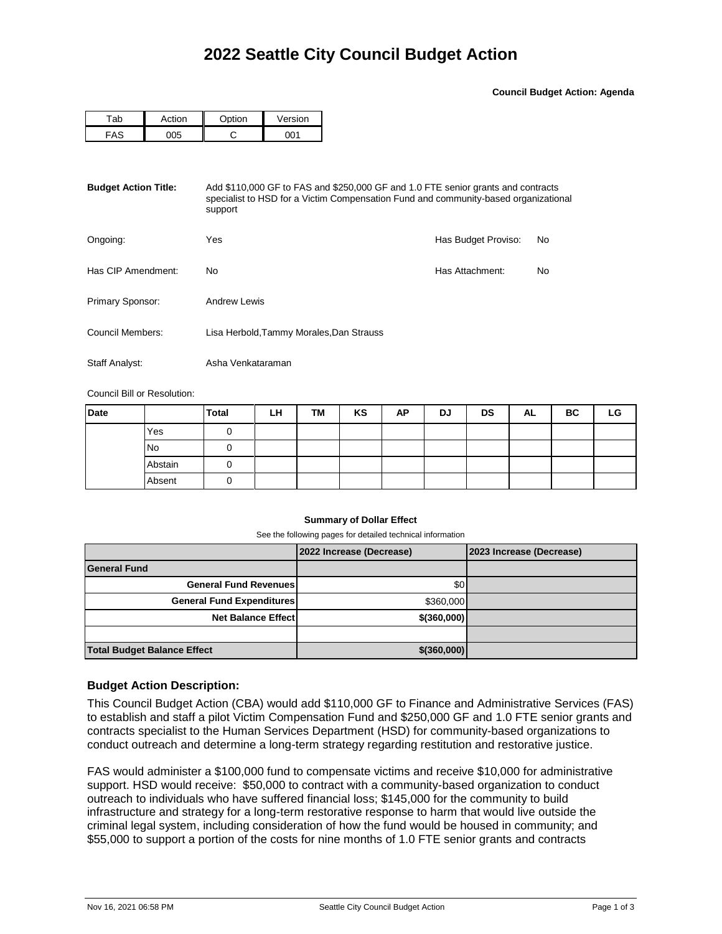**Council Budget Action: Agenda**

| -nh         | atian | $\sim$ $\sim$ $\sim$ $\sim$ $\sim$ $\sim$ | Version |  |  |
|-------------|-------|-------------------------------------------|---------|--|--|
| $\Lambda$ C |       |                                           | ົາ ດ⊿   |  |  |

| <b>Budget Action Title:</b> | Add \$110,000 GF to FAS and \$250,000 GF and 1.0 FTE senior grants and contracts<br>specialist to HSD for a Victim Compensation Fund and community-based organizational<br>support |                     |    |  |  |  |
|-----------------------------|------------------------------------------------------------------------------------------------------------------------------------------------------------------------------------|---------------------|----|--|--|--|
| Ongoing:                    | Yes                                                                                                                                                                                | Has Budget Proviso: | No |  |  |  |
| Has CIP Amendment:          | No                                                                                                                                                                                 | Has Attachment:     | No |  |  |  |
| Primary Sponsor:            | <b>Andrew Lewis</b>                                                                                                                                                                |                     |    |  |  |  |
| Council Members:            | Lisa Herbold, Tammy Morales, Dan Strauss                                                                                                                                           |                     |    |  |  |  |
| Staff Analyst:              | Asha Venkataraman                                                                                                                                                                  |                     |    |  |  |  |

Council Bill or Resolution:

| <b>Date</b> |           | <b>Total</b> | LH | TM | KS | AP | DJ | <b>DS</b> | <b>AL</b> | ВC | LG |
|-------------|-----------|--------------|----|----|----|----|----|-----------|-----------|----|----|
|             | Yes       |              |    |    |    |    |    |           |           |    |    |
|             | <b>No</b> | υ            |    |    |    |    |    |           |           |    |    |
|             | Abstain   | U            |    |    |    |    |    |           |           |    |    |
|             | Absent    | U            |    |    |    |    |    |           |           |    |    |

## **Summary of Dollar Effect**

See the following pages for detailed technical information

|                                    | 2022 Increase (Decrease) | 2023 Increase (Decrease) |
|------------------------------------|--------------------------|--------------------------|
| <b>General Fund</b>                |                          |                          |
| <b>General Fund Revenues</b>       | \$0                      |                          |
| <b>General Fund Expenditures</b>   | \$360,000                |                          |
| <b>Net Balance Effectl</b>         | $$$ (360,000)            |                          |
|                                    |                          |                          |
| <b>Total Budget Balance Effect</b> | \$(360,000)              |                          |

## **Budget Action Description:**

This Council Budget Action (CBA) would add \$110,000 GF to Finance and Administrative Services (FAS) to establish and staff a pilot Victim Compensation Fund and \$250,000 GF and 1.0 FTE senior grants and contracts specialist to the Human Services Department (HSD) for community-based organizations to conduct outreach and determine a long-term strategy regarding restitution and restorative justice.

FAS would administer a \$100,000 fund to compensate victims and receive \$10,000 for administrative support. HSD would receive: \$50,000 to contract with a community-based organization to conduct outreach to individuals who have suffered financial loss; \$145,000 for the community to build infrastructure and strategy for a long-term restorative response to harm that would live outside the criminal legal system, including consideration of how the fund would be housed in community; and \$55,000 to support a portion of the costs for nine months of 1.0 FTE senior grants and contracts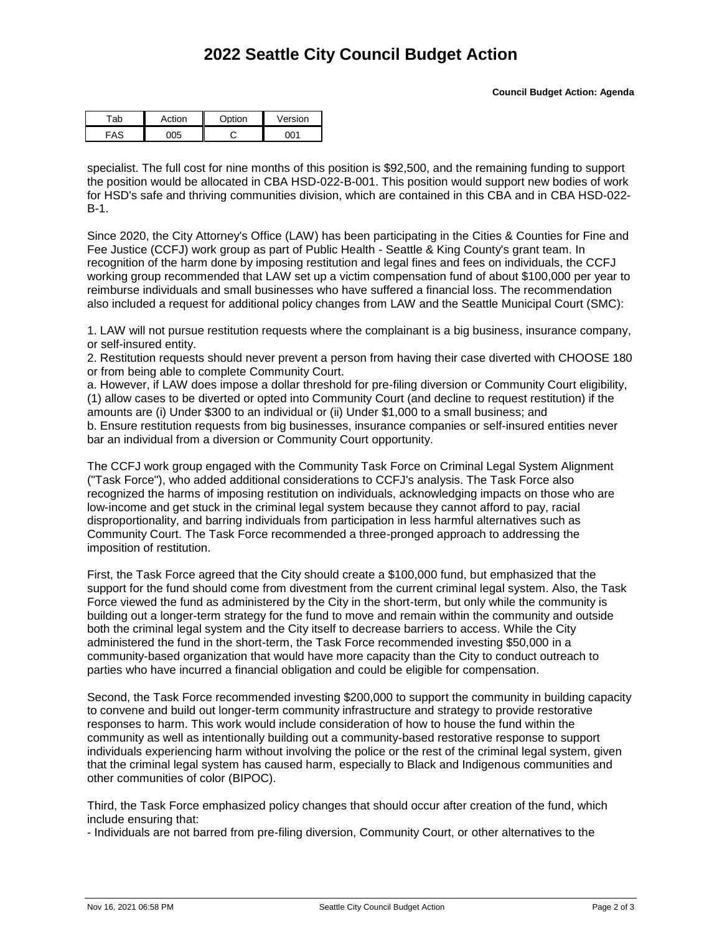## **2022 Seattle City Council Budget Action**

| rti∩n | ∩nti∩n | $\sqrt{ }$<br>/ersion |  |  |
|-------|--------|-----------------------|--|--|
|       |        |                       |  |  |

specialist. The full cost for nine months of this position is \$92,500, and the remaining funding to support the position would be allocated in CBA HSD-022-B-001. This position would support new bodies of work for HSD's safe and thriving communities division, which are contained in this CBA and in CBA HSD-022- B-1.

Since 2020, the City Attorney's Office (LAW) has been participating in the Cities & Counties for Fine and Fee Justice (CCFJ) work group as part of Public Health - Seattle & King County's grant team. In recognition of the harm done by imposing restitution and legal fines and fees on individuals, the CCFJ working group recommended that LAW set up a victim compensation fund of about \$100,000 per year to reimburse individuals and small businesses who have suffered a financial loss. The recommendation also included a request for additional policy changes from LAW and the Seattle Municipal Court (SMC):

1. LAW will not pursue restitution requests where the complainant is a big business, insurance company, or self-insured entity.

2. Restitution requests should never prevent a person from having their case diverted with CHOOSE 180 or from being able to complete Community Court.

a. However, if LAW does impose a dollar threshold for pre-filing diversion or Community Court eligibility, (1) allow cases to be diverted or opted into Community Court (and decline to request restitution) if the amounts are (i) Under \$300 to an individual or (ii) Under \$1,000 to a small business; and b. Ensure restitution requests from big businesses, insurance companies or self-insured entities never bar an individual from a diversion or Community Court opportunity.

The CCFJ work group engaged with the Community Task Force on Criminal Legal System Alignment ("Task Force"), who added additional considerations to CCFJ's analysis. The Task Force also recognized the harms of imposing restitution on individuals, acknowledging impacts on those who are low-income and get stuck in the criminal legal system because they cannot afford to pay, racial disproportionality, and barring individuals from participation in less harmful alternatives such as Community Court. The Task Force recommended a three-pronged approach to addressing the imposition of restitution.

First, the Task Force agreed that the City should create a \$100,000 fund, but emphasized that the support for the fund should come from divestment from the current criminal legal system. Also, the Task Force viewed the fund as administered by the City in the short-term, but only while the community is building out a longer-term strategy for the fund to move and remain within the community and outside both the criminal legal system and the City itself to decrease barriers to access. While the City administered the fund in the short-term, the Task Force recommended investing \$50,000 in a community-based organization that would have more capacity than the City to conduct outreach to parties who have incurred a financial obligation and could be eligible for compensation.

Second, the Task Force recommended investing \$200,000 to support the community in building capacity to convene and build out longer-term community infrastructure and strategy to provide restorative responses to harm. This work would include consideration of how to house the fund within the community as well as intentionally building out a community-based restorative response to support individuals experiencing harm without involving the police or the rest of the criminal legal system, given that the criminal legal system has caused harm, especially to Black and Indigenous communities and other communities of color (BIPOC).

Third, the Task Force emphasized policy changes that should occur after creation of the fund, which include ensuring that:

- Individuals are not barred from pre-filing diversion, Community Court, or other alternatives to the